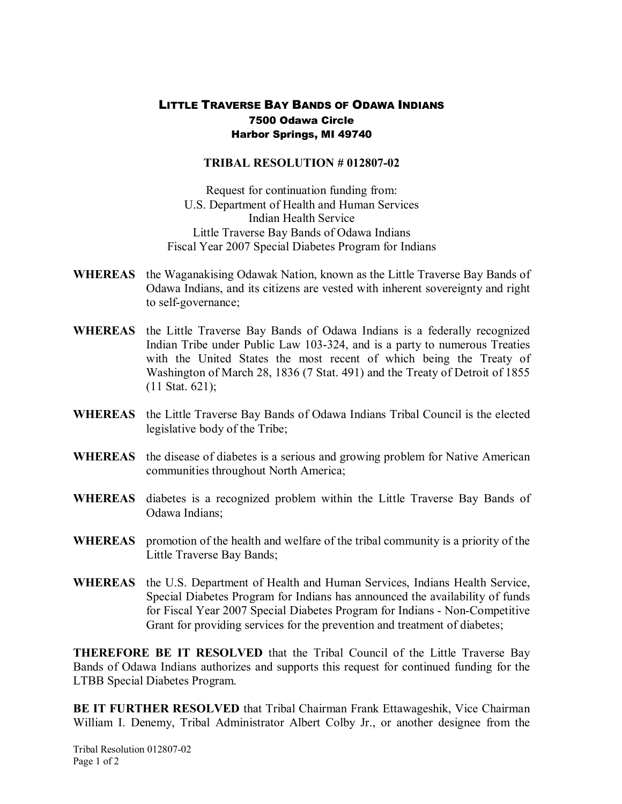## LITTLE TRAVERSE BAY BANDS OF ODAWA INDIANS 7500 Odawa Circle Harbor Springs, MI 49740

## **TRIBAL RESOLUTION # 012807-02**

Request for continuation funding from: U.S. Department of Health and Human Services Indian Health Service Little Traverse Bay Bands of Odawa Indians Fiscal Year 2007 Special Diabetes Program for Indians

- **WHEREAS** the Waganakising Odawak Nation, known as the Little Traverse Bay Bands of Odawa Indians, and its citizens are vested with inherent sovereignty and right to self-governance;
- **WHEREAS** the Little Traverse Bay Bands of Odawa Indians is a federally recognized Indian Tribe under Public Law 103-324, and is a party to numerous Treaties with the United States the most recent of which being the Treaty of Washington of March 28, 1836 (7 Stat. 491) and the Treaty of Detroit of 1855 (11 Stat. 621);
- **WHEREAS** the Little Traverse Bay Bands of Odawa Indians Tribal Council is the elected legislative body of the Tribe;
- **WHEREAS** the disease of diabetes is a serious and growing problem for Native American communities throughout North America;
- WHEREAS diabetes is a recognized problem within the Little Traverse Bay Bands of Odawa Indians;
- **WHEREAS** promotion of the health and welfare of the tribal community is a priority of the Little Traverse Bay Bands;
- **WHEREAS** the U.S. Department of Health and Human Services, Indians Health Service, Special Diabetes Program for Indians has announced the availability of funds for Fiscal Year 2007 Special Diabetes Program for Indians - Non-Competitive Grant for providing services for the prevention and treatment of diabetes;

**THEREFORE BE IT RESOLVED** that the Tribal Council of the Little Traverse Bay Bands of Odawa Indians authorizes and supports this request for continued funding for the LTBB Special Diabetes Program.

**BE IT FURTHER RESOLVED** that Tribal Chairman Frank Ettawageshik, Vice Chairman William I. Denemy, Tribal Administrator Albert Colby Jr., or another designee from the